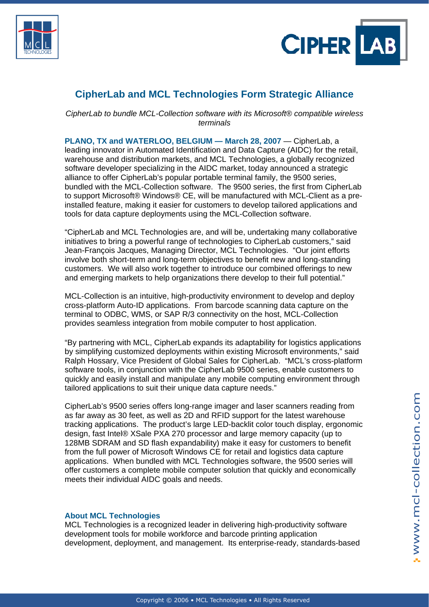



## **CipherLab and MCL Technologies Form Strategic Alliance**

*CipherLab to bundle MCL-Collection software with its Microsoft® compatible wireless terminals* 

**PLANO, TX and WATERLOO, BELGIUM — March 28, 2007** — CipherLab, a leading innovator in Automated Identification and Data Capture (AIDC) for the retail, warehouse and distribution markets, and MCL Technologies, a globally recognized software developer specializing in the AIDC market, today announced a strategic alliance to offer CipherLab's popular portable terminal family, the 9500 series, bundled with the MCL-Collection software. The 9500 series, the first from CipherLab to support Microsoft® Windows® CE, will be manufactured with MCL-Client as a preinstalled feature, making it easier for customers to develop tailored applications and tools for data capture deployments using the MCL-Collection software.

"CipherLab and MCL Technologies are, and will be, undertaking many collaborative initiatives to bring a powerful range of technologies to CipherLab customers," said Jean-François Jacques, Managing Director, MCL Technologies. "Our joint efforts involve both short-term and long-term objectives to benefit new and long-standing customers. We will also work together to introduce our combined offerings to new and emerging markets to help organizations there develop to their full potential."

MCL-Collection is an intuitive, high-productivity environment to develop and deploy cross-platform Auto-ID applications. From barcode scanning data capture on the terminal to ODBC, WMS, or SAP R/3 connectivity on the host, MCL-Collection provides seamless integration from mobile computer to host application.

"By partnering with MCL, CipherLab expands its adaptability for logistics applications by simplifying customized deployments within existing Microsoft environments," said Ralph Hossary, Vice President of Global Sales for CipherLab. "MCL's cross-platform software tools, in conjunction with the CipherLab 9500 series, enable customers to quickly and easily install and manipulate any mobile computing environment through tailored applications to suit their unique data capture needs."

CipherLab's 9500 series offers long-range imager and laser scanners reading from as far away as 30 feet, as well as 2D and RFID support for the latest warehouse tracking applications. The product's large LED-backlit color touch display, ergonomic design, fast Intel® XSale PXA 270 processor and large memory capacity (up to 128MB SDRAM and SD flash expandability) make it easy for customers to benefit from the full power of Microsoft Windows CE for retail and logistics data capture applications. When bundled with MCL Technologies software, the 9500 series will offer customers a complete mobile computer solution that quickly and economically meets their individual AIDC goals and needs.

## **About MCL Technologies**

MCL Technologies is a recognized leader in delivering high-productivity software development tools for mobile workforce and barcode printing application development, deployment, and management. Its enterprise-ready, standards-based